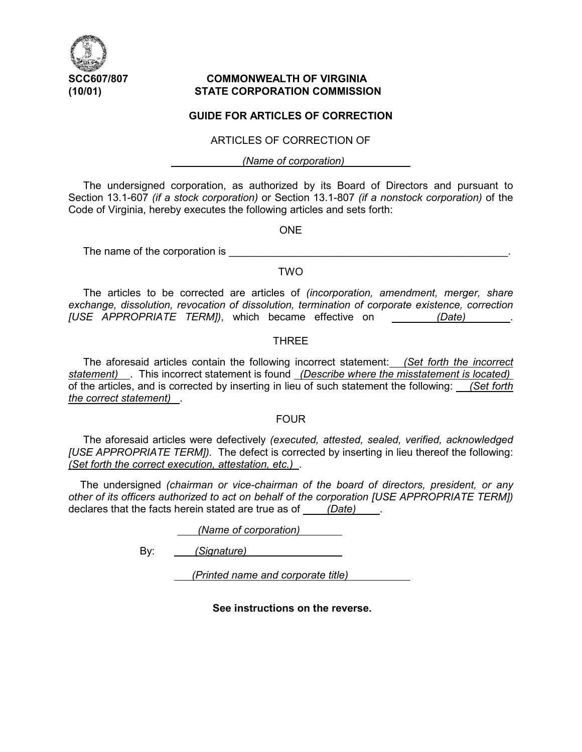

# **SCC607/807 COMMONWEALTH OF VIRGINIA (10/01) STATE CORPORATION COMMISSION**

## **GUIDE FOR ARTICLES OF CORRECTION**

#### ARTICLES OF CORRECTION OF

 *(Name of corporation)* 

 The undersigned corporation, as authorized by its Board of Directors and pursuant to Section 13.1-607 *(if a stock corporation)* or Section 13.1-807 *(if a nonstock corporation)* of the Code of Virginia, hereby executes the following articles and sets forth:

ONE

The name of the corporation is

## TWO

 The articles to be corrected are articles of *(incorporation, amendment, merger, share exchange, dissolution, revocation of dissolution, termination of corporate existence, correction [USE APPROPRIATE TERM])*, which became effective on *(Date)* .

#### THREE

 The aforesaid articles contain the following incorrect statement: *(Set forth the incorrect statement)* . This incorrect statement is found *(Describe where the misstatement is located)*  of the articles, and is corrected by inserting in lieu of such statement the following: *(Set forth the correct statement)* .

#### FOUR

The aforesaid articles were defectively *(executed, attested, sealed, verified, acknowledged [USE APPROPRIATE TERM]).* The defect is corrected by inserting in lieu thereof the following: *(Set forth the correct execution, attestation, etc.)* .

The undersigned *(chairman or vice-chairman of the board of directors, president, or any other of its officers authorized to act on behalf of the corporation [USE APPROPRIATE TERM])* declares that the facts herein stated are true as of *(Date)* .

 *(Name of corporation)* 

By: *(Signature)* 

 *(Printed name and corporate title)* 

**See instructions on the reverse.**